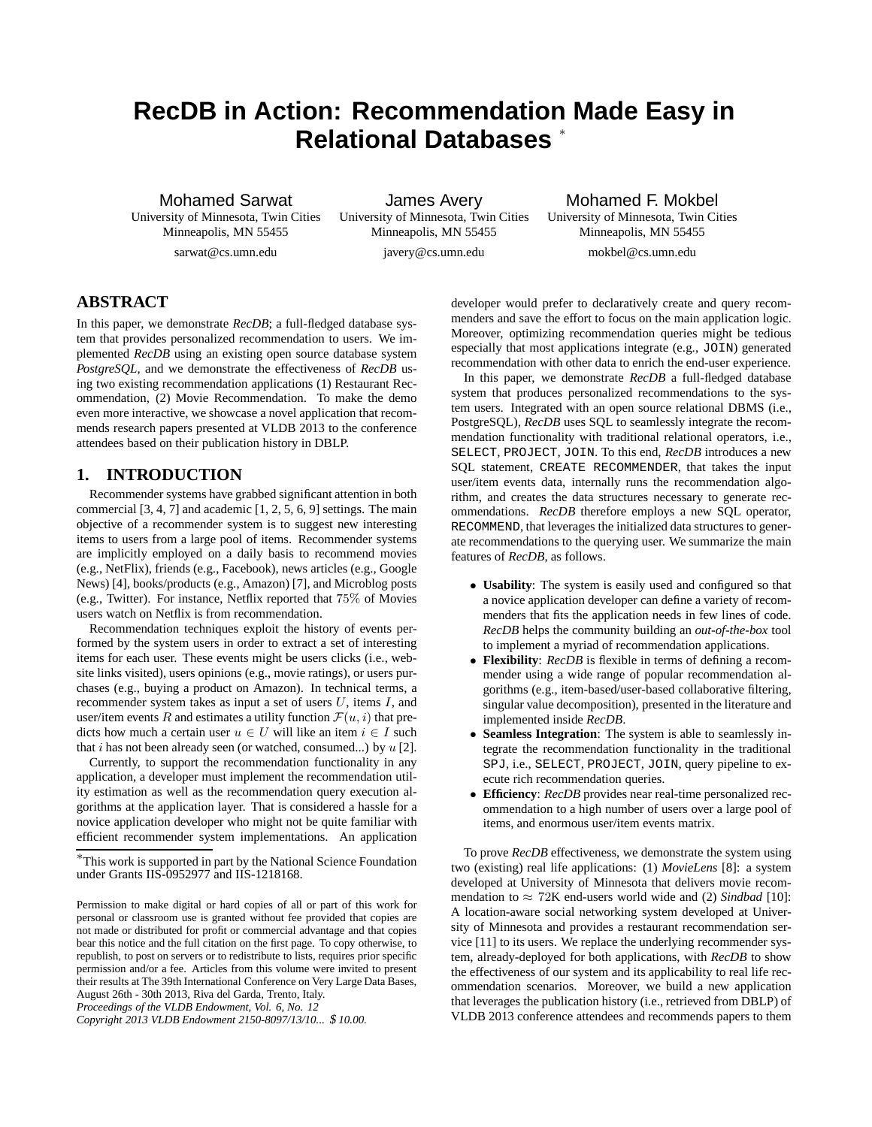# **RecDB in Action: Recommendation Made Easy in Relational Databases** <sup>∗</sup>

Mohamed Sarwat

University of Minnesota, Twin Cities Minneapolis, MN 55455 sarwat@cs.umn.edu

James Avery University of Minnesota, Twin Cities Minneapolis, MN 55455

javery@cs.umn.edu

Mohamed F. Mokbel University of Minnesota, Twin Cities Minneapolis, MN 55455

mokbel@cs.umn.edu

## **ABSTRACT**

In this paper, we demonstrate *RecDB*; a full-fledged database system that provides personalized recommendation to users. We implemented *RecDB* using an existing open source database system *PostgreSQL*, and we demonstrate the effectiveness of *RecDB* using two existing recommendation applications (1) Restaurant Recommendation, (2) Movie Recommendation. To make the demo even more interactive, we showcase a novel application that recommends research papers presented at VLDB 2013 to the conference attendees based on their publication history in DBLP.

## **1. INTRODUCTION**

Recommender systems have grabbed significant attention in both commercial [3, 4, 7] and academic [1, 2, 5, 6, 9] settings. The main objective of a recommender system is to suggest new interesting items to users from a large pool of items. Recommender systems are implicitly employed on a daily basis to recommend movies (e.g., NetFlix), friends (e.g., Facebook), news articles (e.g., Google News) [4], books/products (e.g., Amazon) [7], and Microblog posts (e.g., Twitter). For instance, Netflix reported that 75% of Movies users watch on Netflix is from recommendation.

Recommendation techniques exploit the history of events performed by the system users in order to extract a set of interesting items for each user. These events might be users clicks (i.e., website links visited), users opinions (e.g., movie ratings), or users purchases (e.g., buying a product on Amazon). In technical terms, a recommender system takes as input a set of users  $U$ , items  $I$ , and user/item events R and estimates a utility function  $\mathcal{F}(u, i)$  that predicts how much a certain user  $u \in U$  will like an item  $i \in I$  such that i has not been already seen (or watched, consumed...) by  $u$  [2].

Currently, to support the recommendation functionality in any application, a developer must implement the recommendation utility estimation as well as the recommendation query execution algorithms at the application layer. That is considered a hassle for a novice application developer who might not be quite familiar with efficient recommender system implementations. An application

*Proceedings of the VLDB Endowment, Vol. 6, No. 12*

developer would prefer to declaratively create and query recommenders and save the effort to focus on the main application logic. Moreover, optimizing recommendation queries might be tedious especially that most applications integrate (e.g., JOIN) generated recommendation with other data to enrich the end-user experience.

In this paper, we demonstrate *RecDB* a full-fledged database system that produces personalized recommendations to the system users. Integrated with an open source relational DBMS (i.e., PostgreSQL), *RecDB* uses SQL to seamlessly integrate the recommendation functionality with traditional relational operators, i.e., SELECT, PROJECT, JOIN. To this end, *RecDB* introduces a new SQL statement, CREATE RECOMMENDER, that takes the input user/item events data, internally runs the recommendation algorithm, and creates the data structures necessary to generate recommendations. *RecDB* therefore employs a new SQL operator, RECOMMEND, that leverages the initialized data structures to generate recommendations to the querying user. We summarize the main features of *RecDB*, as follows.

- **Usability**: The system is easily used and configured so that a novice application developer can define a variety of recommenders that fits the application needs in few lines of code. *RecDB* helps the community building an *out-of-the-box* tool to implement a myriad of recommendation applications.
- **Flexibility**: *RecDB* is flexible in terms of defining a recommender using a wide range of popular recommendation algorithms (e.g., item-based/user-based collaborative filtering, singular value decomposition), presented in the literature and implemented inside *RecDB*.
- **Seamless Integration**: The system is able to seamlessly integrate the recommendation functionality in the traditional SPJ, i.e., SELECT, PROJECT, JOIN, query pipeline to execute rich recommendation queries.
- **Efficiency**: *RecDB* provides near real-time personalized recommendation to a high number of users over a large pool of items, and enormous user/item events matrix.

To prove *RecDB* effectiveness, we demonstrate the system using two (existing) real life applications: (1) *MovieLens* [8]: a system developed at University of Minnesota that delivers movie recommendation to  $\approx$  72K end-users world wide and (2) *Sindbad* [10]: A location-aware social networking system developed at University of Minnesota and provides a restaurant recommendation service [11] to its users. We replace the underlying recommender system, already-deployed for both applications, with *RecDB* to show the effectiveness of our system and its applicability to real life recommendation scenarios. Moreover, we build a new application that leverages the publication history (i.e., retrieved from DBLP) of VLDB 2013 conference attendees and recommends papers to them

<sup>∗</sup>This work is supported in part by the National Science Foundation under Grants IIS-0952977 and IIS-1218168.

Permission to make digital or hard copies of all or part of this work for personal or classroom use is granted without fee provided that copies are not made or distributed for profit or commercial advantage and that copies bear this notice and the full citation on the first page. To copy otherwise, to republish, to post on servers or to redistribute to lists, requires prior specific permission and/or a fee. Articles from this volume were invited to present their results at The 39th International Conference on Very Large Data Bases, August 26th - 30th 2013, Riva del Garda, Trento, Italy.

*Copyright 2013 VLDB Endowment 2150-8097/13/10...* \$ *10.00.*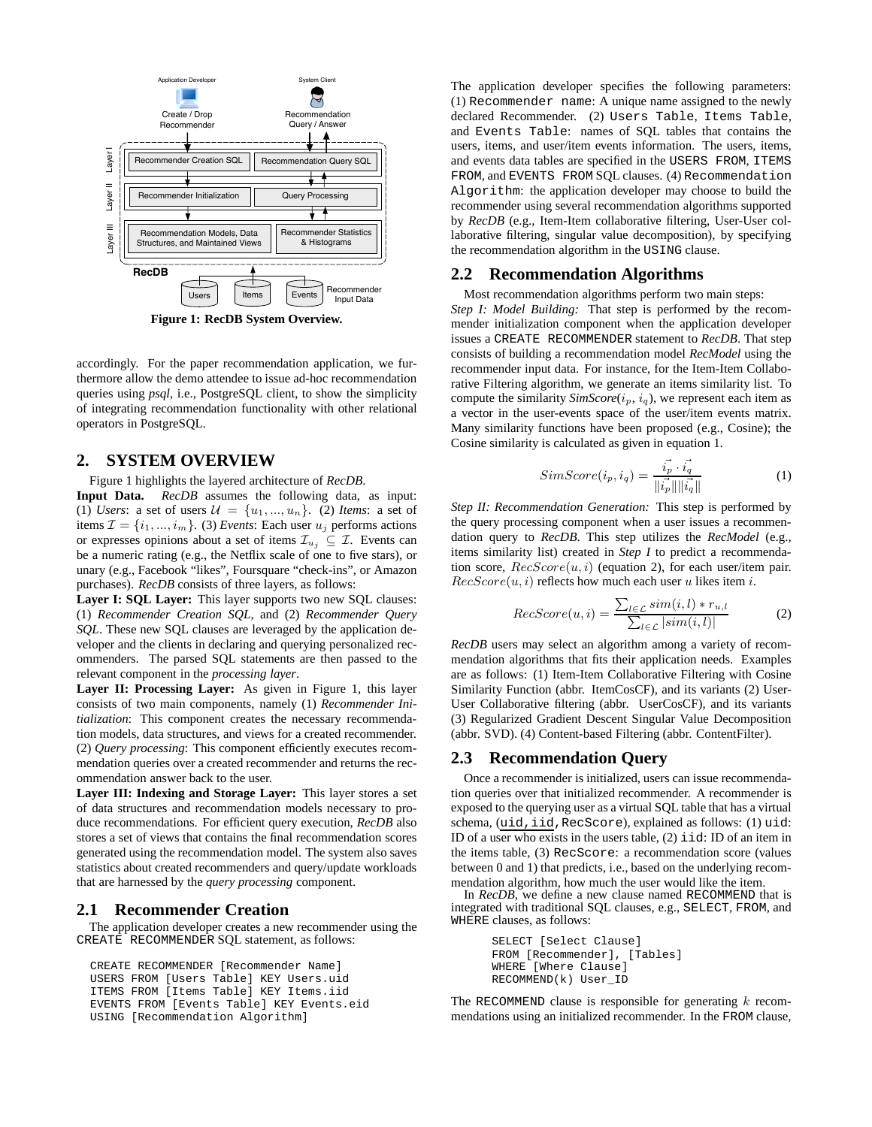

**Figure 1: RecDB System Overview.**

accordingly. For the paper recommendation application, we furthermore allow the demo attendee to issue ad-hoc recommendation queries using *psql*, i.e., PostgreSQL client, to show the simplicity of integrating recommendation functionality with other relational operators in PostgreSQL.

#### **2. SYSTEM OVERVIEW**

Figure 1 highlights the layered architecture of *RecDB*.

**Input Data.** *RecDB* assumes the following data, as input: (1) *Users*: a set of users  $\mathcal{U} = \{u_1, ..., u_n\}$ . (2) *Items*: a set of items  $\mathcal{I} = \{i_1, ..., i_m\}$ . (3) *Events*: Each user  $u_j$  performs actions or expresses opinions about a set of items  $\mathcal{I}_{u_j} \subseteq \mathcal{I}$ . Events can be a numeric rating (e.g., the Netflix scale of one to five stars), or unary (e.g., Facebook "likes", Foursquare "check-ins", or Amazon purchases). *RecDB* consists of three layers, as follows:

**Layer I: SQL Layer:** This layer supports two new SQL clauses: (1) *Recommender Creation SQL*, and (2) *Recommender Query SQL*. These new SQL clauses are leveraged by the application developer and the clients in declaring and querying personalized recommenders. The parsed SQL statements are then passed to the relevant component in the *processing layer*.

**Layer II: Processing Layer:** As given in Figure 1, this layer consists of two main components, namely (1) *Recommender Initialization*: This component creates the necessary recommendation models, data structures, and views for a created recommender. (2) *Query processing*: This component efficiently executes recommendation queries over a created recommender and returns the recommendation answer back to the user.

**Layer III: Indexing and Storage Layer:** This layer stores a set of data structures and recommendation models necessary to produce recommendations. For efficient query execution, *RecDB* also stores a set of views that contains the final recommendation scores generated using the recommendation model. The system also saves statistics about created recommenders and query/update workloads that are harnessed by the *query processing* component.

#### **2.1 Recommender Creation**

The application developer creates a new recommender using the CREATE RECOMMENDER SQL statement, as follows:

```
CREATE RECOMMENDER [Recommender Name]
USERS FROM [Users Table] KEY Users.uid
ITEMS FROM [Items Table] KEY Items.iid
EVENTS FROM [Events Table] KEY Events.eid
USING [Recommendation Algorithm]
```
The application developer specifies the following parameters: (1) Recommender name: A unique name assigned to the newly declared Recommender. (2) Users Table, Items Table, and Events Table: names of SQL tables that contains the users, items, and user/item events information. The users, items, and events data tables are specified in the USERS FROM, ITEMS FROM, and EVENTS FROM SQL clauses. (4) Recommendation Algorithm: the application developer may choose to build the recommender using several recommendation algorithms supported by *RecDB* (e.g., Item-Item collaborative filtering, User-User collaborative filtering, singular value decomposition), by specifying the recommendation algorithm in the USING clause.

#### **2.2 Recommendation Algorithms**

Most recommendation algorithms perform two main steps: *Step I: Model Building:* That step is performed by the recommender initialization component when the application developer issues a CREATE RECOMMENDER statement to *RecDB*. That step consists of building a recommendation model *RecModel* using the recommender input data. For instance, for the Item-Item Collaborative Filtering algorithm, we generate an items similarity list. To compute the similarity  $SimScore(i_p, i_q)$ , we represent each item as a vector in the user-events space of the user/item events matrix. Many similarity functions have been proposed (e.g., Cosine); the Cosine similarity is calculated as given in equation 1.

$$
SimScore(i_p, i_q) = \frac{\vec{i_p} \cdot \vec{i_q}}{\|\vec{i_p}\| \|\vec{i_q}\|}
$$
 (1)

*Step II: Recommendation Generation:* This step is performed by the query processing component when a user issues a recommendation query to *RecDB*. This step utilizes the *RecModel* (e.g., items similarity list) created in *Step I* to predict a recommendation score,  $RecScore(u, i)$  (equation 2), for each user/item pair.  $RecScore(u, i)$  reflects how much each user u likes item i.

$$
RecScore(u,i) = \frac{\sum_{l \in \mathcal{L}} sim(i,l) * r_{u,l}}{\sum_{l \in \mathcal{L}} |sim(i,l)|}
$$
(2)

*RecDB* users may select an algorithm among a variety of recommendation algorithms that fits their application needs. Examples are as follows: (1) Item-Item Collaborative Filtering with Cosine Similarity Function (abbr. ItemCosCF), and its variants (2) User-User Collaborative filtering (abbr. UserCosCF), and its variants (3) Regularized Gradient Descent Singular Value Decomposition (abbr. SVD). (4) Content-based Filtering (abbr. ContentFilter).

### **2.3 Recommendation Query**

Once a recommender is initialized, users can issue recommendation queries over that initialized recommender. A recommender is exposed to the querying user as a virtual SQL table that has a virtual schema, (uid, iid, RecScore), explained as follows: (1) uid: ID of a user who exists in the users table,  $(2)$  iid: ID of an item in the items table, (3) RecScore: a recommendation score (values between 0 and 1) that predicts, i.e., based on the underlying recommendation algorithm, how much the user would like the item.

In *RecDB*, we define a new clause named RECOMMEND that is integrated with traditional SQL clauses, e.g., SELECT, FROM, and WHERE clauses, as follows:

> SELECT [Select Clause] FROM [Recommender], [Tables] WHERE [Where Clause] RECOMMEND(k) User\_ID

The RECOMMEND clause is responsible for generating  $k$  recommendations using an initialized recommender. In the FROM clause,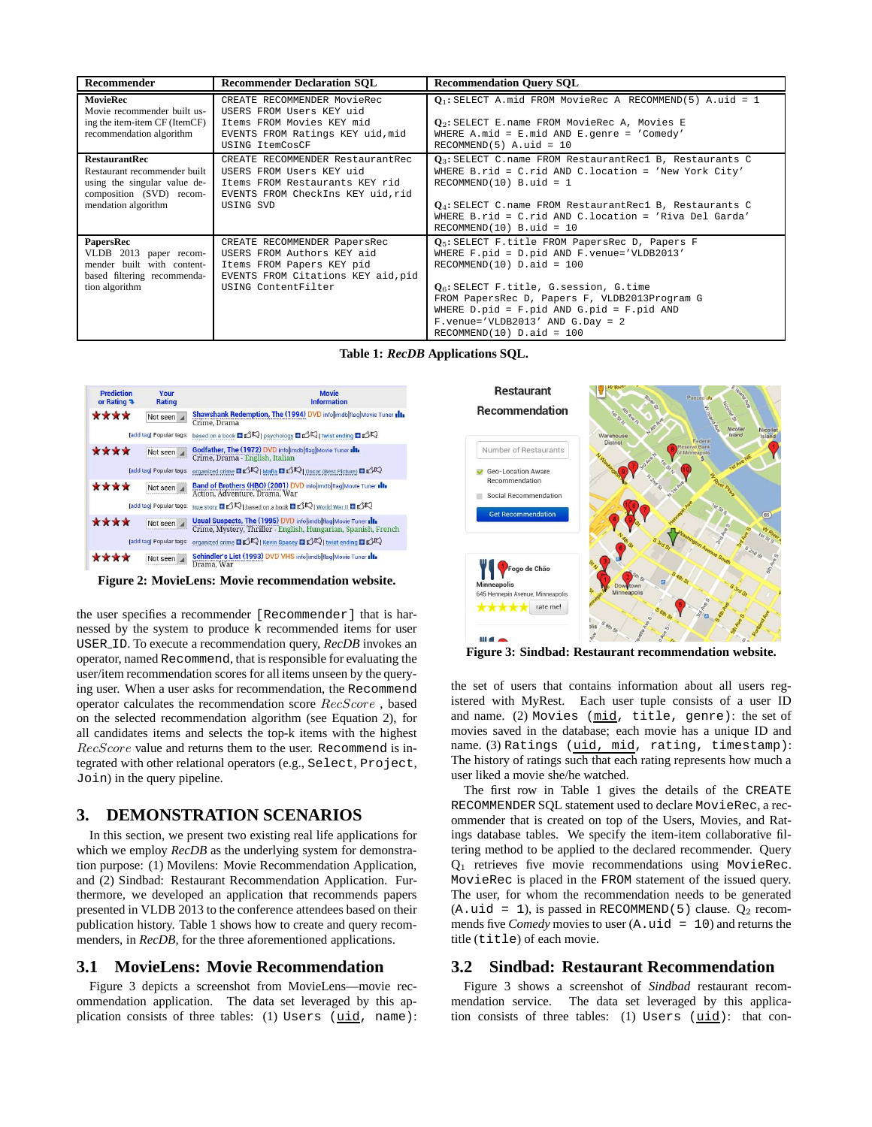| Recommender                                                                                                                             | <b>Recommender Declaration SOL</b><br><b>Recommendation Ouery SOL</b>                                                                                |                                                                                                                                                                                                                                                                                                                                                          |  |  |
|-----------------------------------------------------------------------------------------------------------------------------------------|------------------------------------------------------------------------------------------------------------------------------------------------------|----------------------------------------------------------------------------------------------------------------------------------------------------------------------------------------------------------------------------------------------------------------------------------------------------------------------------------------------------------|--|--|
| <b>MovieRec</b><br>Movie recommender built us-<br>ing the item-item CF (ItemCF)<br>recommendation algorithm                             | CREATE RECOMMENDER MovieRec<br>USERS FROM Users KEY uid<br>Items FROM Movies KEY mid<br>EVENTS FROM Ratings KEY uid, mid<br>USING ItemCosCF          | $Q_1$ : SELECT A. mid FROM MovieRec A RECOMMEND(5) A. uid = 1<br>$Q_2$ : SELECT E.name FROM MovieRec A, Movies E<br>WHERE A.mid = $E$ .mid AND $E$ .genre = 'Comedy'<br>$RECOMMEND(5)$ A.uid = 10                                                                                                                                                        |  |  |
| <b>RestaurantRec</b><br>Restaurant recommender built<br>using the singular value de-<br>composition (SVD) recom-<br>mendation algorithm | CREATE RECOMMENDER RestaurantRec<br>USERS FROM Users KEY uid<br>Items FROM Restaurants KEY rid<br>EVENTS FROM CheckIns KEY uid, rid<br>USING SVD     | $Q_3$ : SELECT C.name FROM RestaurantRec1 B, Restaurants C<br>WHERE B.rid = $C$ .rid AND $C$ .location = 'New York City'<br>$RECOMMEND(10)$ B.uid = 1<br>$Q_4$ : SELECT C. name FROM RestaurantRecl B, Restaurants C<br>WHERE B.rid = $C$ .rid AND $C$ .location = 'Riva Del Garda'<br>$RECOMMEND(10) B.uid = 10$                                        |  |  |
| PapersRec<br>VLDB 2013 paper recom-<br>mender built with content-<br>based filtering recommenda-<br>tion algorithm                      | CREATE RECOMMENDER PapersRec<br>USERS FROM Authors KEY aid<br>Items FROM Papers KEY pid<br>EVENTS FROM Citations KEY aid, pid<br>USING ContentFilter | $Q_5$ : SELECT F. title FROM PapersRec D, Papers F<br>WHERE F.pid = D.pid AND F.venue='VLDB2013'<br>$RECOMMEND(10)$ $D.add = 100$<br>$Q_6$ : SELECT F.title, G.session, G.time<br>FROM PapersRec D, Papers F, VLDB2013Program G<br>WHERE $D.pid = F.pid AND G.pid = F.pid AND$<br>$F$ . venue='VLDB2013' AND G. Day = 2<br>$RECOMMEND(10)$ $D.add = 100$ |  |  |

**Table 1:** *RecDB* **Applications SQL.**

| <b>Prediction</b><br>or Rating $\rightarrow$ | Your<br>Rating                | <b>Movie</b><br><b>Information</b>                                                                                             |
|----------------------------------------------|-------------------------------|--------------------------------------------------------------------------------------------------------------------------------|
| ****                                         | Not seen $\blacktriangle$     | Shawshank Redemption, The (1994) DVD info imdb flag Movie Tuner alla<br>Crime, Drama                                           |
|                                              | [add taq] Popular tags:       | based on a book $\Box$ $\Box$ R   psychology $\Box$ $\Box$ R   twist ending $\Box$ $\Box$ R                                    |
| ****                                         | Not seen<br>                  | Godfather, The (1972) DVD infolimdb flag Movie Tuner Illa<br>Crime, Drama - English, Italian                                   |
|                                              | <b>Tadd tag Popular tags:</b> | organized crime <b>DI</b> OR   Mafia <b>DI</b> OR   Oscar (Best Picture) <b>DI</b> OR                                          |
| ****                                         | Not seen                      | Band of Brothers (HBO) (2001) DVD info[imdb]flag]Movie Tuner Illa<br>Action, Adventure, Drama, War                             |
|                                              | [add tag] Popular tags:       | true story <b>EIL</b> ORI based on a book <b>EILORI</b> World War II LILOR                                                     |
| ****                                         | Not seen                      | Usual Suspects, The (1995) DVD info imdb flag Movie Tuner Il<br>Crime, Mystery, Thriller - English, Hungarian, Spanish, French |
|                                              | [add tag] Popular tags:       | organized crime <b>DIC</b>   Kevin Spacey <b>DIC</b>   twist ending DIC                                                        |
|                                              | Not seen                      | Schindler's List (1993) DVD VHS info imdb flag Movie Tuner Illa<br>Drama, War                                                  |

**Figure 2: MovieLens: Movie recommendation website.**

the user specifies a recommender [Recommender] that is harnessed by the system to produce k recommended items for user USER ID. To execute a recommendation query, *RecDB* invokes an operator, named Recommend, that is responsible for evaluating the user/item recommendation scores for all items unseen by the querying user. When a user asks for recommendation, the Recommend operator calculates the recommendation score RecScore , based on the selected recommendation algorithm (see Equation 2), for all candidates items and selects the top-k items with the highest RecScore value and returns them to the user. Recommend is integrated with other relational operators (e.g., Select, Project, Join) in the query pipeline.

#### **3. DEMONSTRATION SCENARIOS**

In this section, we present two existing real life applications for which we employ *RecDB* as the underlying system for demonstration purpose: (1) Movilens: Movie Recommendation Application, and (2) Sindbad: Restaurant Recommendation Application. Furthermore, we developed an application that recommends papers presented in VLDB 2013 to the conference attendees based on their publication history. Table 1 shows how to create and query recommenders, in *RecDB*, for the three aforementioned applications.

#### **3.1 MovieLens: Movie Recommendation**

Figure 3 depicts a screenshot from MovieLens—movie recommendation application. The data set leveraged by this application consists of three tables: (1) Users (uid, name):



**Figure 3: Sindbad: Restaurant recommendation website.**

the set of users that contains information about all users registered with MyRest. Each user tuple consists of a user ID and name. (2) Movies (mid, title, genre): the set of movies saved in the database; each movie has a unique ID and name. (3) Ratings (uid, mid, rating, timestamp): The history of ratings such that each rating represents how much a user liked a movie she/he watched.

The first row in Table 1 gives the details of the CREATE RECOMMENDER SQL statement used to declare MovieRec, a recommender that is created on top of the Users, Movies, and Ratings database tables. We specify the item-item collaborative filtering method to be applied to the declared recommender. Query  $Q_1$  retrieves five movie recommendations using MovieRec. MovieRec is placed in the FROM statement of the issued query. The user, for whom the recommendation needs to be generated (A.uid = 1), is passed in RECOMMEND(5) clause.  $Q_2$  recommends five *Comedy* movies to user (A.uid = 10) and returns the title (title) of each movie.

#### **3.2 Sindbad: Restaurant Recommendation**

Figure 3 shows a screenshot of *Sindbad* restaurant recommendation service. The data set leveraged by this application consists of three tables: (1) Users (uid): that con-